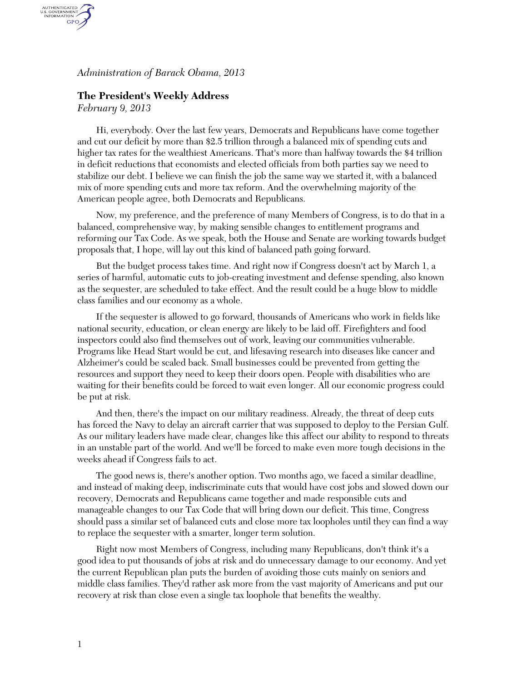*Administration of Barack Obama, 2013* 

## **The President's Weekly Address**

*February 9, 2013* 

AUTHENTICATED<br>U.S. GOVERNMENT<br>INFORMATION GPO.

> Hi, everybody. Over the last few years, Democrats and Republicans have come together and cut our deficit by more than \$2.5 trillion through a balanced mix of spending cuts and higher tax rates for the wealthiest Americans. That's more than halfway towards the \$4 trillion in deficit reductions that economists and elected officials from both parties say we need to stabilize our debt. I believe we can finish the job the same way we started it, with a balanced mix of more spending cuts and more tax reform. And the overwhelming majority of the American people agree, both Democrats and Republicans.

Now, my preference, and the preference of many Members of Congress, is to do that in a balanced, comprehensive way, by making sensible changes to entitlement programs and reforming our Tax Code. As we speak, both the House and Senate are working towards budget proposals that, I hope, will lay out this kind of balanced path going forward.

But the budget process takes time. And right now if Congress doesn't act by March 1, a series of harmful, automatic cuts to job-creating investment and defense spending, also known as the sequester, are scheduled to take effect. And the result could be a huge blow to middle class families and our economy as a whole.

If the sequester is allowed to go forward, thousands of Americans who work in fields like national security, education, or clean energy are likely to be laid off. Firefighters and food inspectors could also find themselves out of work, leaving our communities vulnerable. Programs like Head Start would be cut, and lifesaving research into diseases like cancer and Alzheimer's could be scaled back. Small businesses could be prevented from getting the resources and support they need to keep their doors open. People with disabilities who are waiting for their benefits could be forced to wait even longer. All our economic progress could be put at risk.

And then, there's the impact on our military readiness. Already, the threat of deep cuts has forced the Navy to delay an aircraft carrier that was supposed to deploy to the Persian Gulf. As our military leaders have made clear, changes like this affect our ability to respond to threats in an unstable part of the world. And we'll be forced to make even more tough decisions in the weeks ahead if Congress fails to act.

The good news is, there's another option. Two months ago, we faced a similar deadline, and instead of making deep, indiscriminate cuts that would have cost jobs and slowed down our recovery, Democrats and Republicans came together and made responsible cuts and manageable changes to our Tax Code that will bring down our deficit. This time, Congress should pass a similar set of balanced cuts and close more tax loopholes until they can find a way to replace the sequester with a smarter, longer term solution.

Right now most Members of Congress, including many Republicans, don't think it's a good idea to put thousands of jobs at risk and do unnecessary damage to our economy. And yet the current Republican plan puts the burden of avoiding those cuts mainly on seniors and middle class families. They'd rather ask more from the vast majority of Americans and put our recovery at risk than close even a single tax loophole that benefits the wealthy.